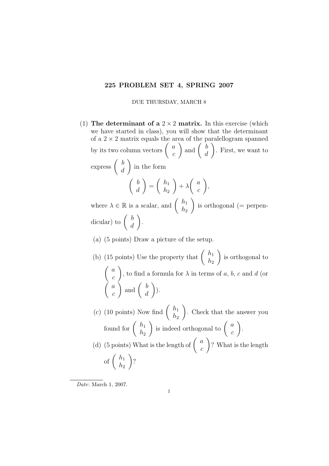## 225 PROBLEM SET 4, SPRING 2007

DUE THURSDAY, MARCH 8

- (1) The determinant of a  $2 \times 2$  matrix. In this exercise (which we have started in class), you will show that the determinant of a  $2 \times 2$  matrix equals the area of the paralellogram spanned by its two column vectors  $\begin{pmatrix} a & b \\ c & d \end{pmatrix}$ c ) and  $\begin{pmatrix} b \\ d \end{pmatrix}$ d  $\setminus$ . First, we want to express  $\begin{pmatrix} b \\ d \end{pmatrix}$ d  $\setminus$ in the form  $\int b$ d  $\setminus$ =  $\int h_1$  $h_2$  $\setminus$  $+$   $\lambda$  $\int a$ c  $\setminus$ , where  $\lambda \in \mathbb{R}$  is a scalar, and  $\begin{pmatrix} h_1 \\ h_2 \end{pmatrix}$  $h<sub>2</sub>$  $\setminus$ is orthogonal (= perpendicular) to  $\begin{pmatrix} b \\ d \end{pmatrix}$ d  $\setminus$ .
	- (a) (5 points) Draw a picture of the setup.
	- (b) (15 points) Use the property that  $\begin{pmatrix} h_1 \\ h_2 \end{pmatrix}$  $h<sub>2</sub>$  $\setminus$ is orthogonal to  $\int a$ c  $\setminus$ , to find a formula for  $\lambda$  in terms of a, b, c and d (or  $\int a$ c ) and  $\begin{pmatrix} b \\ d \end{pmatrix}$ d  $\setminus$ ).
	- (c) (10 points) Now find  $\begin{pmatrix} h_1 \\ h_2 \end{pmatrix}$  $h_2$  $\setminus$ . Check that the answer you found for  $\begin{pmatrix} h_1 \\ h_2 \end{pmatrix}$  $h_2$ is indeed orthogonal to  $\begin{pmatrix} a \\ c \end{pmatrix}$ c  $\setminus$ . (d) (5 points) What is the length of  $\begin{pmatrix} a \\ c \end{pmatrix}$ c  $\setminus$ ? What is the length of  $\begin{pmatrix} h_1 \\ h_2 \end{pmatrix}$  $h_2$  $\setminus$ ?

Date: March 1, 2007.